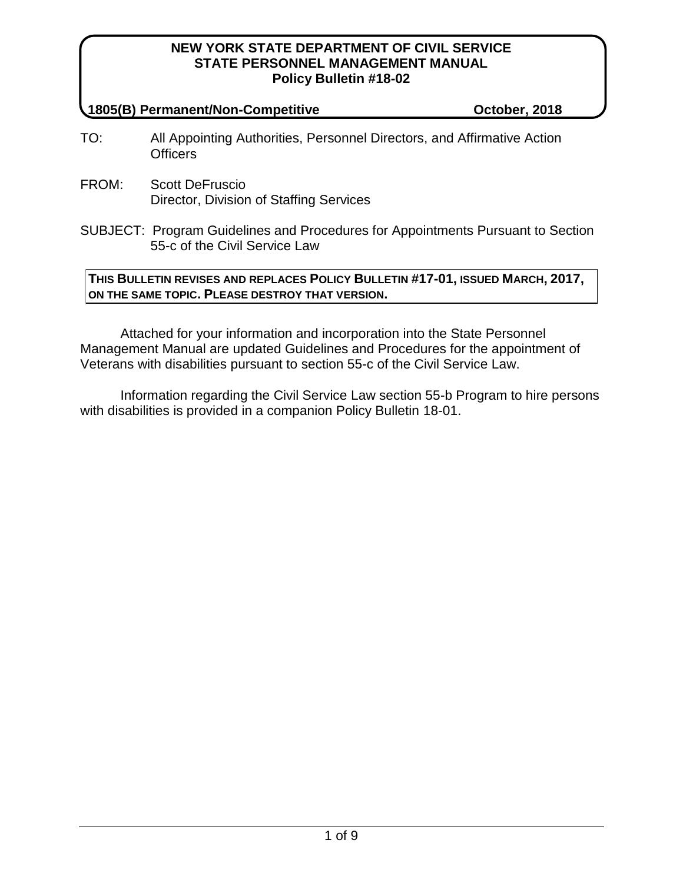#### **1805(B) Permanent/Non-Competitive October, 2018**

- TO: All Appointing Authorities, Personnel Directors, and Affirmative Action **Officers**
- FROM: Scott DeFruscio Director, Division of Staffing Services
- SUBJECT: Program Guidelines and Procedures for Appointments Pursuant to Section 55-c of the Civil Service Law

## **THIS BULLETIN REVISES AND REPLACES POLICY BULLETIN #17-01, ISSUED MARCH, 2017, ON THE SAME TOPIC. PLEASE DESTROY THAT VERSION.**

Attached for your information and incorporation into the State Personnel Management Manual are updated Guidelines and Procedures for the appointment of Veterans with disabilities pursuant to section 55-c of the Civil Service Law.

Information regarding the Civil Service Law section 55-b Program to hire persons with disabilities is provided in a companion Policy Bulletin 18-01.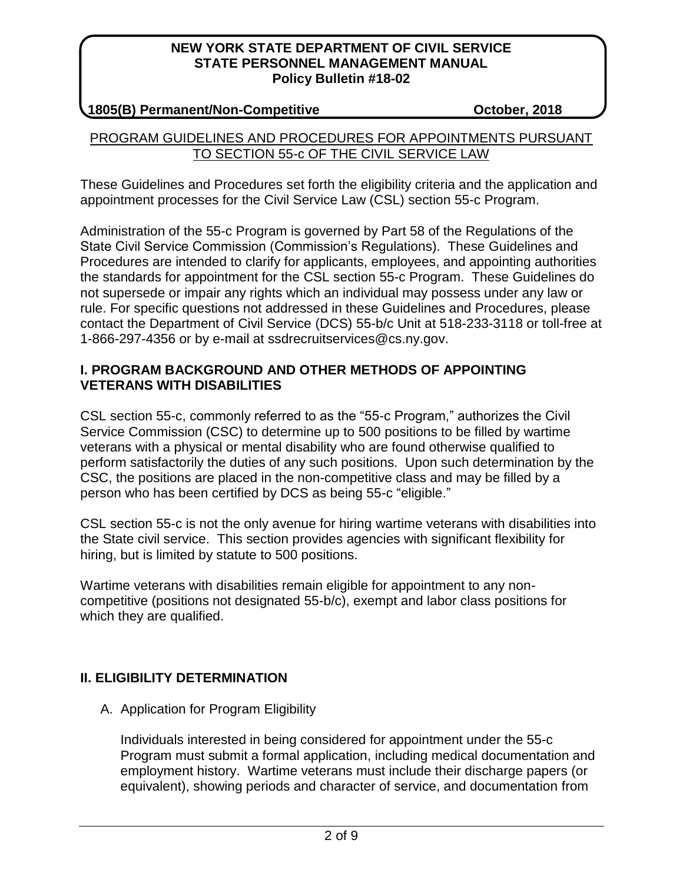## **1805(B) Permanent/Non-Competitive October, 2018**

## PROGRAM GUIDELINES AND PROCEDURES FOR APPOINTMENTS PURSUANT TO SECTION 55-c OF THE CIVIL SERVICE LAW

These Guidelines and Procedures set forth the eligibility criteria and the application and appointment processes for the Civil Service Law (CSL) section 55-c Program.

Administration of the 55-c Program is governed by Part 58 of the Regulations of the State Civil Service Commission (Commission's Regulations). These Guidelines and Procedures are intended to clarify for applicants, employees, and appointing authorities the standards for appointment for the CSL section 55-c Program. These Guidelines do not supersede or impair any rights which an individual may possess under any law or rule. For specific questions not addressed in these Guidelines and Procedures, please contact the Department of Civil Service (DCS) 55-b/c Unit at 518-233-3118 or toll-free at 1-866-297-4356 or by e-mail at ssdrecruitservices@cs.ny.gov.

## **I. PROGRAM BACKGROUND AND OTHER METHODS OF APPOINTING VETERANS WITH DISABILITIES**

CSL section 55-c, commonly referred to as the "55-c Program," authorizes the Civil Service Commission (CSC) to determine up to 500 positions to be filled by wartime veterans with a physical or mental disability who are found otherwise qualified to perform satisfactorily the duties of any such positions. Upon such determination by the CSC, the positions are placed in the non-competitive class and may be filled by a person who has been certified by DCS as being 55-c "eligible."

CSL section 55-c is not the only avenue for hiring wartime veterans with disabilities into the State civil service. This section provides agencies with significant flexibility for hiring, but is limited by statute to 500 positions.

Wartime veterans with disabilities remain eligible for appointment to any noncompetitive (positions not designated 55-b/c), exempt and labor class positions for which they are qualified.

# **II. ELIGIBILITY DETERMINATION**

A. Application for Program Eligibility

Individuals interested in being considered for appointment under the 55-c Program must submit a formal application, including medical documentation and employment history. Wartime veterans must include their discharge papers (or equivalent), showing periods and character of service, and documentation from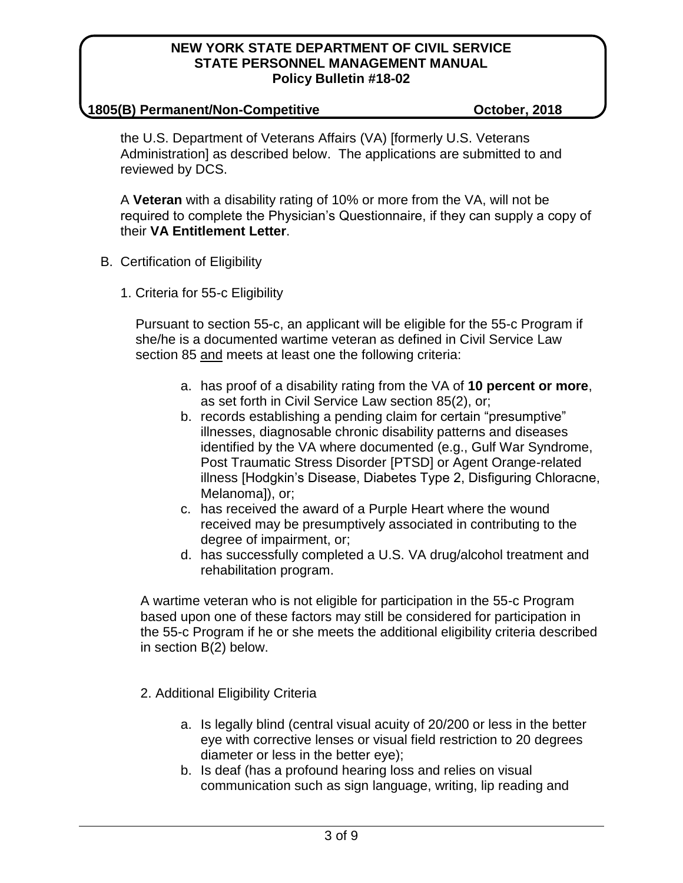#### **1805(B) Permanent/Non-Competitive October, 2018**

the U.S. Department of Veterans Affairs (VA) [formerly U.S. Veterans Administration] as described below. The applications are submitted to and reviewed by DCS.

A **Veteran** with a disability rating of 10% or more from the VA, will not be required to complete the Physician's Questionnaire, if they can supply a copy of their **VA Entitlement Letter**.

- B. Certification of Eligibility
	- 1. Criteria for 55-c Eligibility

Pursuant to section 55-c, an applicant will be eligible for the 55-c Program if she/he is a documented wartime veteran as defined in Civil Service Law section 85 and meets at least one the following criteria:

- a. has proof of a disability rating from the VA of **10 percent or more**, as set forth in Civil Service Law section 85(2), or;
- b. records establishing a pending claim for certain "presumptive" illnesses, diagnosable chronic disability patterns and diseases identified by the VA where documented (e.g., Gulf War Syndrome, Post Traumatic Stress Disorder [PTSD] or Agent Orange-related illness [Hodgkin's Disease, Diabetes Type 2, Disfiguring Chloracne, Melanoma]), or;
- c. has received the award of a Purple Heart where the wound received may be presumptively associated in contributing to the degree of impairment, or;
- d. has successfully completed a U.S. VA drug/alcohol treatment and rehabilitation program.

A wartime veteran who is not eligible for participation in the 55-c Program based upon one of these factors may still be considered for participation in the 55-c Program if he or she meets the additional eligibility criteria described in section B(2) below.

- 2. Additional Eligibility Criteria
	- a. Is legally blind (central visual acuity of 20/200 or less in the better eye with corrective lenses or visual field restriction to 20 degrees diameter or less in the better eye);
	- b. Is deaf (has a profound hearing loss and relies on visual communication such as sign language, writing, lip reading and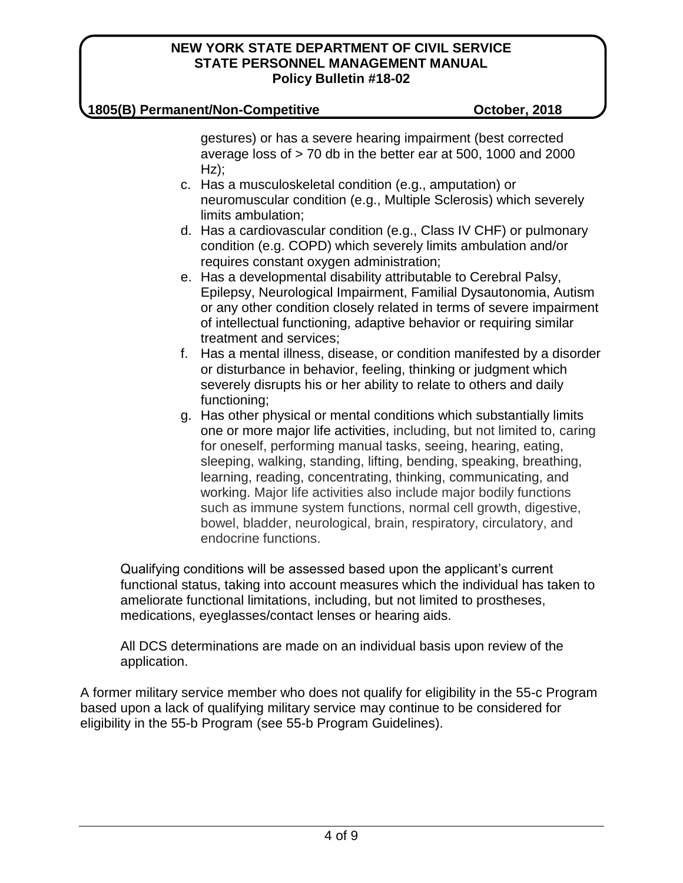### **1805(B) Permanent/Non-Competitive October, 2018**

gestures) or has a severe hearing impairment (best corrected average loss of > 70 db in the better ear at 500, 1000 and 2000  $Hz$ );

- c. Has a musculoskeletal condition (e.g., amputation) or neuromuscular condition (e.g., Multiple Sclerosis) which severely limits ambulation;
- d. Has a cardiovascular condition (e.g., Class IV CHF) or pulmonary condition (e.g. COPD) which severely limits ambulation and/or requires constant oxygen administration;
- e. Has a developmental disability attributable to Cerebral Palsy, Epilepsy, Neurological Impairment, Familial Dysautonomia, Autism or any other condition closely related in terms of severe impairment of intellectual functioning, adaptive behavior or requiring similar treatment and services;
- f. Has a mental illness, disease, or condition manifested by a disorder or disturbance in behavior, feeling, thinking or judgment which severely disrupts his or her ability to relate to others and daily functioning;
- g. Has other physical or mental conditions which substantially limits one or more major life activities, including, but not limited to, caring for oneself, performing manual tasks, seeing, hearing, eating, sleeping, walking, standing, lifting, bending, speaking, breathing, learning, reading, concentrating, thinking, communicating, and working. Major life activities also include major bodily functions such as immune system functions, normal cell growth, digestive, bowel, bladder, neurological, brain, respiratory, circulatory, and endocrine functions.

Qualifying conditions will be assessed based upon the applicant's current functional status, taking into account measures which the individual has taken to ameliorate functional limitations, including, but not limited to prostheses, medications, eyeglasses/contact lenses or hearing aids.

All DCS determinations are made on an individual basis upon review of the application.

A former military service member who does not qualify for eligibility in the 55-c Program based upon a lack of qualifying military service may continue to be considered for eligibility in the 55-b Program (see 55-b Program Guidelines).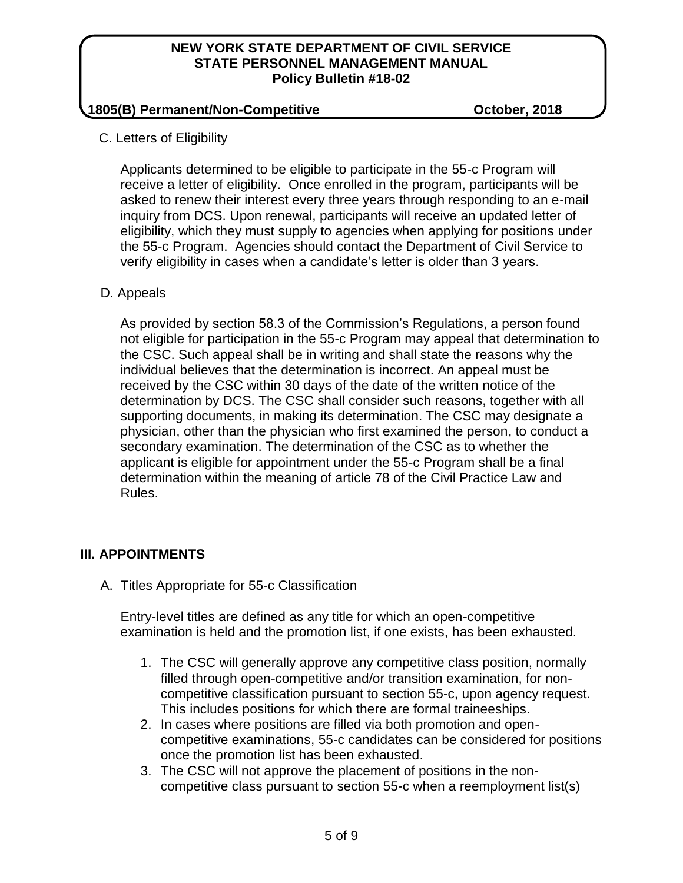## **1805(B) Permanent/Non-Competitive October, 2018**

C. Letters of Eligibility

Applicants determined to be eligible to participate in the 55-c Program will receive a letter of eligibility. Once enrolled in the program, participants will be asked to renew their interest every three years through responding to an e-mail inquiry from DCS. Upon renewal, participants will receive an updated letter of eligibility, which they must supply to agencies when applying for positions under the 55-c Program. Agencies should contact the Department of Civil Service to verify eligibility in cases when a candidate's letter is older than 3 years.

# D. Appeals

As provided by section 58.3 of the Commission's Regulations, a person found not eligible for participation in the 55-c Program may appeal that determination to the CSC. Such appeal shall be in writing and shall state the reasons why the individual believes that the determination is incorrect. An appeal must be received by the CSC within 30 days of the date of the written notice of the determination by DCS. The CSC shall consider such reasons, together with all supporting documents, in making its determination. The CSC may designate a physician, other than the physician who first examined the person, to conduct a secondary examination. The determination of the CSC as to whether the applicant is eligible for appointment under the 55-c Program shall be a final determination within the meaning of article 78 of the Civil Practice Law and Rules.

# **III. APPOINTMENTS**

A. Titles Appropriate for 55-c Classification

Entry-level titles are defined as any title for which an open-competitive examination is held and the promotion list, if one exists, has been exhausted.

- 1. The CSC will generally approve any competitive class position, normally filled through open-competitive and/or transition examination, for noncompetitive classification pursuant to section 55-c, upon agency request. This includes positions for which there are formal traineeships.
- 2. In cases where positions are filled via both promotion and opencompetitive examinations, 55-c candidates can be considered for positions once the promotion list has been exhausted.
- 3. The CSC will not approve the placement of positions in the noncompetitive class pursuant to section 55-c when a reemployment list(s)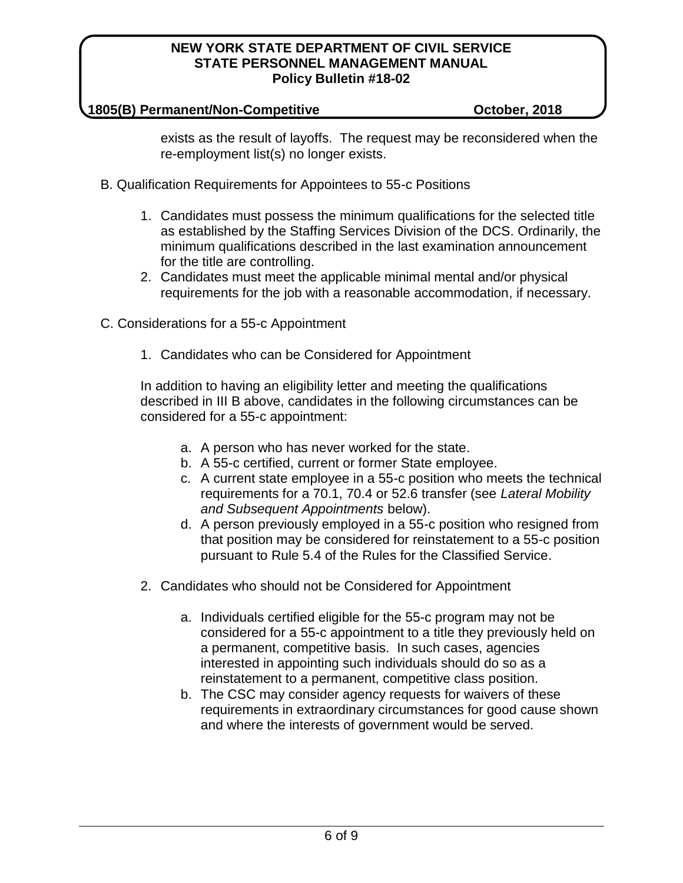#### **1805(B) Permanent/Non-Competitive October, 2018**

exists as the result of layoffs. The request may be reconsidered when the re-employment list(s) no longer exists.

- B. Qualification Requirements for Appointees to 55-c Positions
	- 1. Candidates must possess the minimum qualifications for the selected title as established by the Staffing Services Division of the DCS. Ordinarily, the minimum qualifications described in the last examination announcement for the title are controlling.
	- 2. Candidates must meet the applicable minimal mental and/or physical requirements for the job with a reasonable accommodation, if necessary.
- C. Considerations for a 55-c Appointment
	- 1. Candidates who can be Considered for Appointment

In addition to having an eligibility letter and meeting the qualifications described in III B above, candidates in the following circumstances can be considered for a 55-c appointment:

- a. A person who has never worked for the state.
- b. A 55-c certified, current or former State employee.
- c. A current state employee in a 55-c position who meets the technical requirements for a 70.1, 70.4 or 52.6 transfer (see *Lateral Mobility and Subsequent Appointments* below).
- d. A person previously employed in a 55-c position who resigned from that position may be considered for reinstatement to a 55-c position pursuant to Rule 5.4 of the Rules for the Classified Service.
- 2. Candidates who should not be Considered for Appointment
	- a. Individuals certified eligible for the 55-c program may not be considered for a 55-c appointment to a title they previously held on a permanent, competitive basis. In such cases, agencies interested in appointing such individuals should do so as a reinstatement to a permanent, competitive class position.
	- b. The CSC may consider agency requests for waivers of these requirements in extraordinary circumstances for good cause shown and where the interests of government would be served.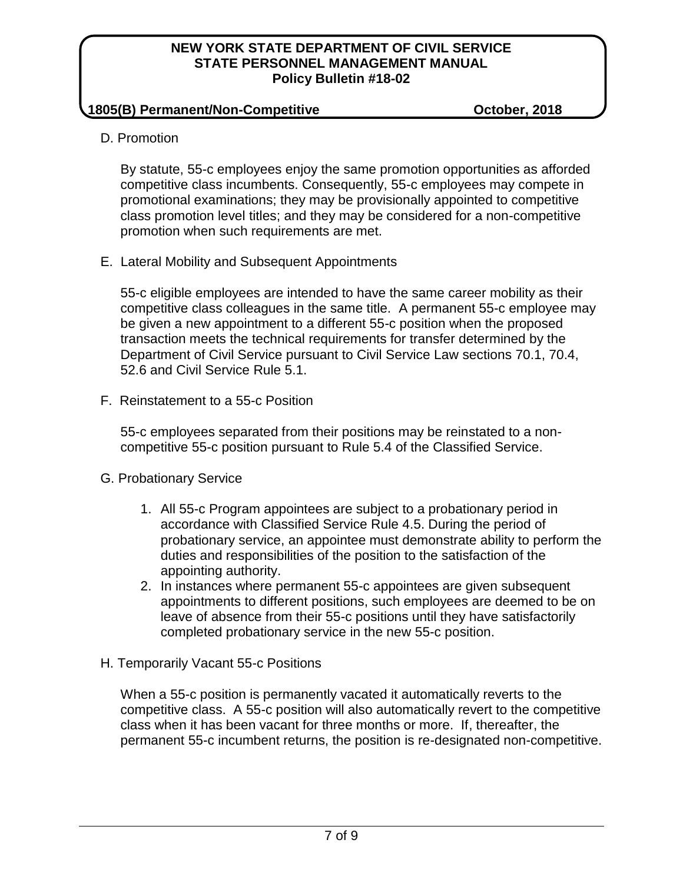### **1805(B) Permanent/Non-Competitive October, 2018**

D. Promotion

By statute, 55-c employees enjoy the same promotion opportunities as afforded competitive class incumbents. Consequently, 55-c employees may compete in promotional examinations; they may be provisionally appointed to competitive class promotion level titles; and they may be considered for a non-competitive promotion when such requirements are met.

E. Lateral Mobility and Subsequent Appointments

55-c eligible employees are intended to have the same career mobility as their competitive class colleagues in the same title. A permanent 55-c employee may be given a new appointment to a different 55-c position when the proposed transaction meets the technical requirements for transfer determined by the Department of Civil Service pursuant to Civil Service Law sections 70.1, 70.4, 52.6 and Civil Service Rule 5.1.

F. Reinstatement to a 55-c Position

55-c employees separated from their positions may be reinstated to a noncompetitive 55-c position pursuant to Rule 5.4 of the Classified Service.

- G. Probationary Service
	- 1. All 55-c Program appointees are subject to a probationary period in accordance with Classified Service Rule 4.5. During the period of probationary service, an appointee must demonstrate ability to perform the duties and responsibilities of the position to the satisfaction of the appointing authority.
	- 2. In instances where permanent 55-c appointees are given subsequent appointments to different positions, such employees are deemed to be on leave of absence from their 55-c positions until they have satisfactorily completed probationary service in the new 55-c position.
- H. Temporarily Vacant 55-c Positions

When a 55-c position is permanently vacated it automatically reverts to the competitive class. A 55-c position will also automatically revert to the competitive class when it has been vacant for three months or more. If, thereafter, the permanent 55-c incumbent returns, the position is re-designated non-competitive.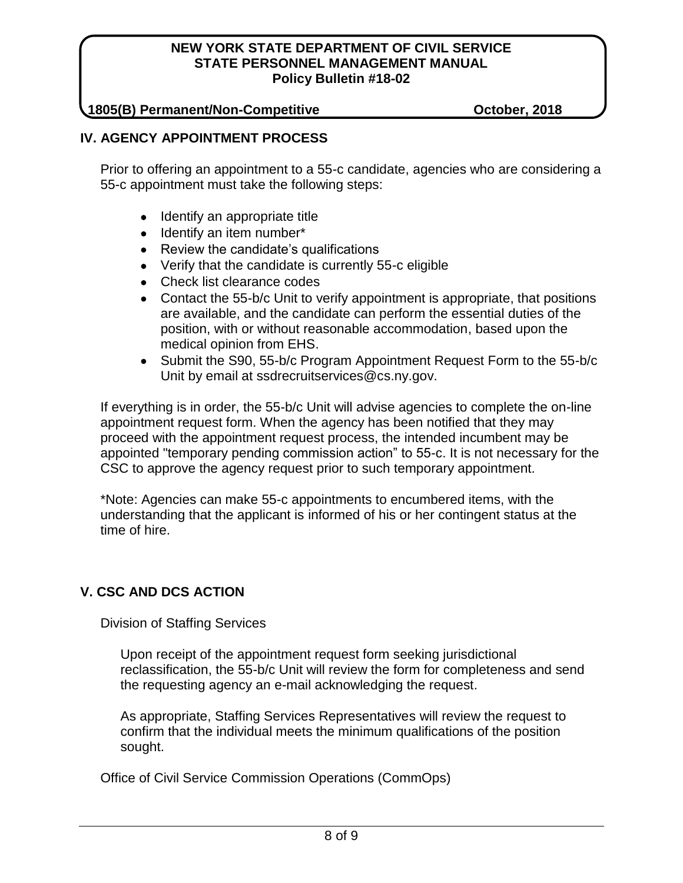### **1805(B) Permanent/Non-Competitive October, 2018**

## **IV. AGENCY APPOINTMENT PROCESS**

Prior to offering an appointment to a 55-c candidate, agencies who are considering a 55-c appointment must take the following steps:

- Identify an appropriate title
- Identify an item number\*
- Review the candidate's qualifications
- Verify that the candidate is currently 55-c eligible
- Check list clearance codes
- Contact the 55-b/c Unit to verify appointment is appropriate, that positions are available, and the candidate can perform the essential duties of the position, with or without reasonable accommodation, based upon the medical opinion from EHS.
- Submit the S90, 55-b/c Program Appointment Request Form to the 55-b/c Unit by email at ssdrecruitservices@cs.ny.gov.

If everything is in order, the 55-b/c Unit will advise agencies to complete the on-line appointment request form. When the agency has been notified that they may proceed with the appointment request process, the intended incumbent may be appointed "temporary pending commission action" to 55-c. It is not necessary for the CSC to approve the agency request prior to such temporary appointment.

\*Note: Agencies can make 55-c appointments to encumbered items, with the understanding that the applicant is informed of his or her contingent status at the time of hire.

# **V. CSC AND DCS ACTION**

Division of Staffing Services

Upon receipt of the appointment request form seeking jurisdictional reclassification, the 55-b/c Unit will review the form for completeness and send the requesting agency an e-mail acknowledging the request.

As appropriate, Staffing Services Representatives will review the request to confirm that the individual meets the minimum qualifications of the position sought.

Office of Civil Service Commission Operations (CommOps)